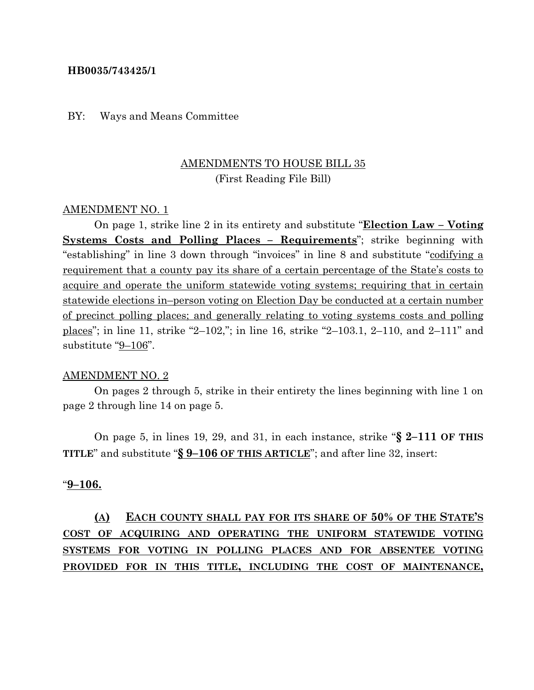### **HB0035/743425/1**

### BY: Ways and Means Committee

# AMENDMENTS TO HOUSE BILL 35 (First Reading File Bill)

#### AMENDMENT NO. 1

On page 1, strike line 2 in its entirety and substitute "**Election Law – Voting Systems Costs and Polling Places – Requirements**"; strike beginning with "establishing" in line 3 down through "invoices" in line 8 and substitute "codifying a requirement that a county pay its share of a certain percentage of the State's costs to acquire and operate the uniform statewide voting systems; requiring that in certain statewide elections in–person voting on Election Day be conducted at a certain number of precinct polling places; and generally relating to voting systems costs and polling places"; in line 11, strike "2–102,"; in line 16, strike "2–103.1, 2–110, and 2–111" and substitute "9–106".

#### AMENDMENT NO. 2

On pages 2 through 5, strike in their entirety the lines beginning with line 1 on page 2 through line 14 on page 5.

On page 5, in lines 19, 29, and 31, in each instance, strike "**§ 2–111 OF THIS TITLE**" and substitute "**§ 9–106 OF THIS ARTICLE**"; and after line 32, insert:

## "**9–106.**

**(A) EACH COUNTY SHALL PAY FOR ITS SHARE OF 50% OF THE STATE'S COST OF ACQUIRING AND OPERATING THE UNIFORM STATEWIDE VOTING SYSTEMS FOR VOTING IN POLLING PLACES AND FOR ABSENTEE VOTING PROVIDED FOR IN THIS TITLE, INCLUDING THE COST OF MAINTENANCE,**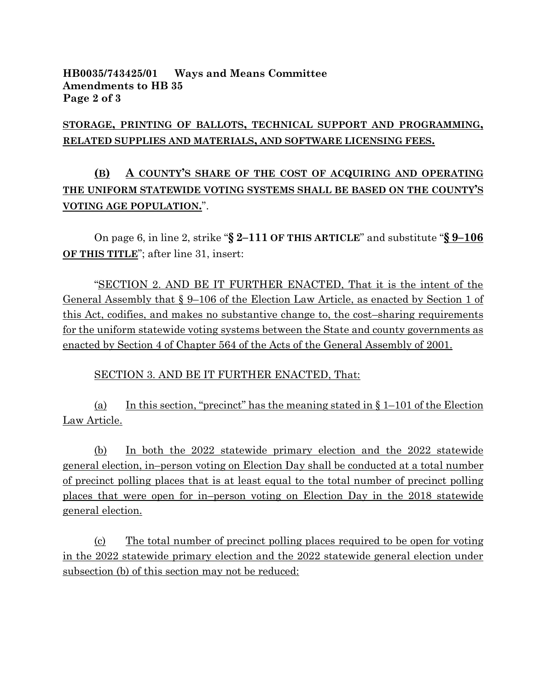## **HB0035/743425/01 Ways and Means Committee Amendments to HB 35 Page 2 of 3**

# **STORAGE, PRINTING OF BALLOTS, TECHNICAL SUPPORT AND PROGRAMMING, RELATED SUPPLIES AND MATERIALS, AND SOFTWARE LICENSING FEES.**

# **(B) A COUNTY'S SHARE OF THE COST OF ACQUIRING AND OPERATING THE UNIFORM STATEWIDE VOTING SYSTEMS SHALL BE BASED ON THE COUNTY'S VOTING AGE POPULATION.**".

On page 6, in line 2, strike "**§ 2–111 OF THIS ARTICLE**" and substitute "**§ 9–106 OF THIS TITLE**"; after line 31, insert:

"SECTION 2. AND BE IT FURTHER ENACTED, That it is the intent of the General Assembly that § 9–106 of the Election Law Article, as enacted by Section 1 of this Act, codifies, and makes no substantive change to, the cost–sharing requirements for the uniform statewide voting systems between the State and county governments as enacted by Section 4 of Chapter 564 of the Acts of the General Assembly of 2001.

SECTION 3. AND BE IT FURTHER ENACTED, That:

(a) In this section, "precinct" has the meaning stated in  $\S 1-101$  of the Election Law Article.

(b) In both the 2022 statewide primary election and the 2022 statewide general election, in–person voting on Election Day shall be conducted at a total number of precinct polling places that is at least equal to the total number of precinct polling places that were open for in–person voting on Election Day in the 2018 statewide general election.

(c) The total number of precinct polling places required to be open for voting in the 2022 statewide primary election and the 2022 statewide general election under subsection (b) of this section may not be reduced: